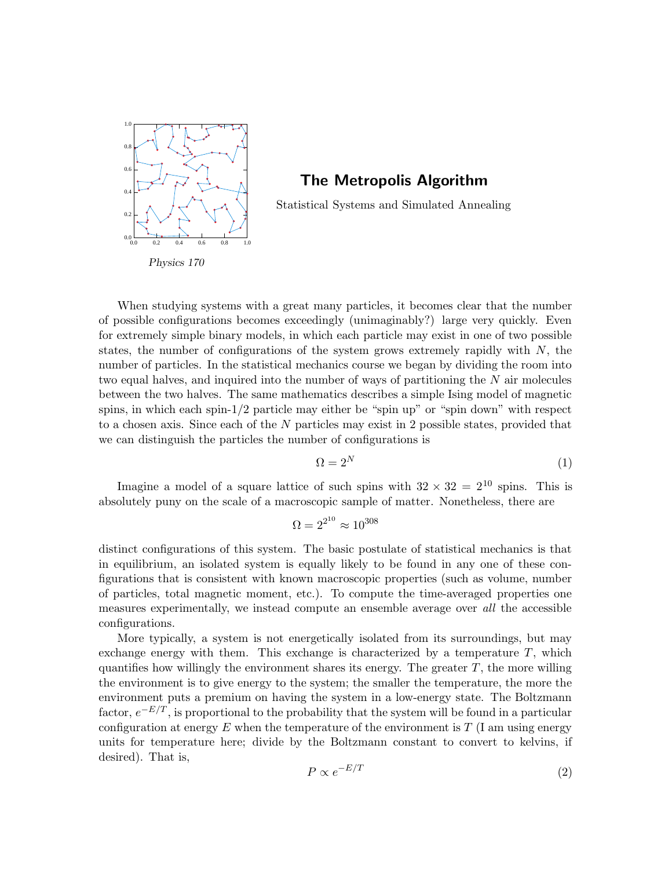

# The Metropolis Algorithm

Statistical Systems and Simulated Annealing

Physics 170

When studying systems with a great many particles, it becomes clear that the number of possible configurations becomes exceedingly (unimaginably?) large very quickly. Even for extremely simple binary models, in which each particle may exist in one of two possible states, the number of configurations of the system grows extremely rapidly with  $N$ , the number of particles. In the statistical mechanics course we began by dividing the room into two equal halves, and inquired into the number of ways of partitioning the N air molecules between the two halves. The same mathematics describes a simple Ising model of magnetic spins, in which each spin- $1/2$  particle may either be "spin up" or "spin down" with respect to a chosen axis. Since each of the  $N$  particles may exist in 2 possible states, provided that we can distinguish the particles the number of configurations is

$$
\Omega = 2^N \tag{1}
$$

Imagine a model of a square lattice of such spins with  $32 \times 32 = 2^{10}$  spins. This is absolutely puny on the scale of a macroscopic sample of matter. Nonetheless, there are

$$
\Omega = 2^{2^{10}} \approx 10^{308}
$$

distinct configurations of this system. The basic postulate of statistical mechanics is that in equilibrium, an isolated system is equally likely to be found in any one of these configurations that is consistent with known macroscopic properties (such as volume, number of particles, total magnetic moment, etc.). To compute the time-averaged properties one measures experimentally, we instead compute an ensemble average over all the accessible configurations.

<span id="page-0-0"></span>More typically, a system is not energetically isolated from its surroundings, but may exchange energy with them. This exchange is characterized by a temperature  $T$ , which quantifies how willingly the environment shares its energy. The greater  $T$ , the more willing the environment is to give energy to the system; the smaller the temperature, the more the environment puts a premium on having the system in a low-energy state. The Boltzmann factor,  $e^{-E/T}$ , is proportional to the probability that the system will be found in a particular configuration at energy  $E$  when the temperature of the environment is  $T$  (I am using energy units for temperature here; divide by the Boltzmann constant to convert to kelvins, if desired). That is,

$$
P \propto e^{-E/T} \tag{2}
$$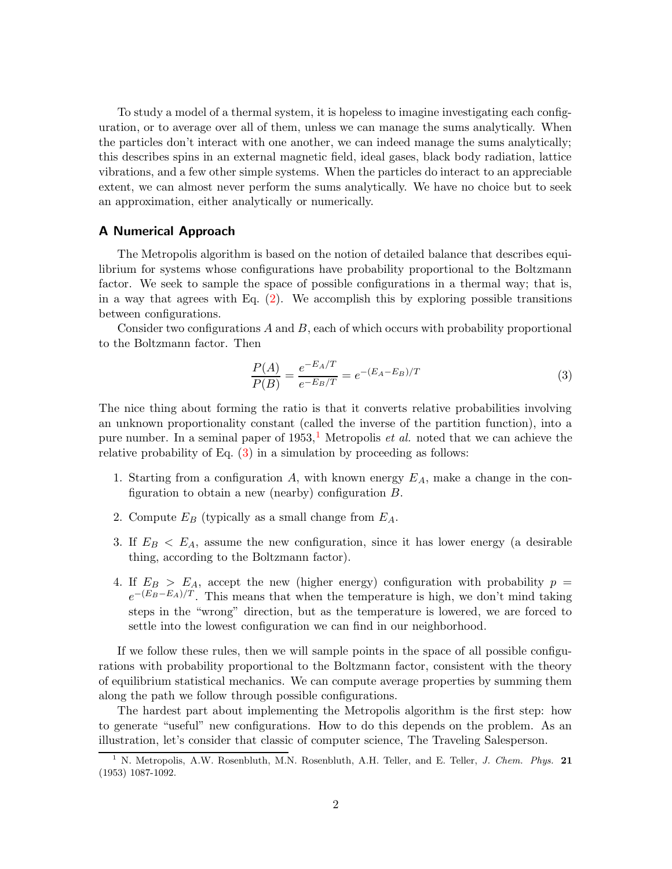To study a model of a thermal system, it is hopeless to imagine investigating each configuration, or to average over all of them, unless we can manage the sums analytically. When the particles don't interact with one another, we can indeed manage the sums analytically; this describes spins in an external magnetic field, ideal gases, black body radiation, lattice vibrations, and a few other simple systems. When the particles do interact to an appreciable extent, we can almost never perform the sums analytically. We have no choice but to seek an approximation, either analytically or numerically.

### A Numerical Approach

The Metropolis algorithm is based on the notion of detailed balance that describes equilibrium for systems whose configurations have probability proportional to the Boltzmann factor. We seek to sample the space of possible configurations in a thermal way; that is, in a way that agrees with Eq. [\(2\)](#page-0-0). We accomplish this by exploring possible transitions between configurations.

Consider two configurations  $A$  and  $B$ , each of which occurs with probability proportional to the Boltzmann factor. Then

<span id="page-1-1"></span>
$$
\frac{P(A)}{P(B)} = \frac{e^{-E_A/T}}{e^{-E_B/T}} = e^{-(E_A - E_B)/T}
$$
\n(3)

The nice thing about forming the ratio is that it converts relative probabilities involving an unknown proportionality constant (called the inverse of the partition function), into a pure number. In a seminal paper of  $1953$  $1953$ ,<sup>1</sup> Metropolis *et al.* noted that we can achieve the relative probability of Eq. [\(3\)](#page-1-1) in a simulation by proceeding as follows:

- 1. Starting from a configuration  $A$ , with known energy  $E_A$ , make a change in the configuration to obtain a new (nearby) configuration B.
- 2. Compute  $E_B$  (typically as a small change from  $E_A$ .
- 3. If  $E_B < E_A$ , assume the new configuration, since it has lower energy (a desirable thing, according to the Boltzmann factor).
- 4. If  $E_B > E_A$ , accept the new (higher energy) configuration with probability  $p =$  $e^{-(E_B-E_A)/T}$ . This means that when the temperature is high, we don't mind taking steps in the "wrong" direction, but as the temperature is lowered, we are forced to settle into the lowest configuration we can find in our neighborhood.

If we follow these rules, then we will sample points in the space of all possible configurations with probability proportional to the Boltzmann factor, consistent with the theory of equilibrium statistical mechanics. We can compute average properties by summing them along the path we follow through possible configurations.

The hardest part about implementing the Metropolis algorithm is the first step: how to generate "useful" new configurations. How to do this depends on the problem. As an illustration, let's consider that classic of computer science, The Traveling Salesperson.

<span id="page-1-0"></span><sup>&</sup>lt;sup>1</sup> N. Metropolis, A.W. Rosenbluth, M.N. Rosenbluth, A.H. Teller, and E. Teller, *J. Chem. Phys.* 21 (1953) 1087-1092.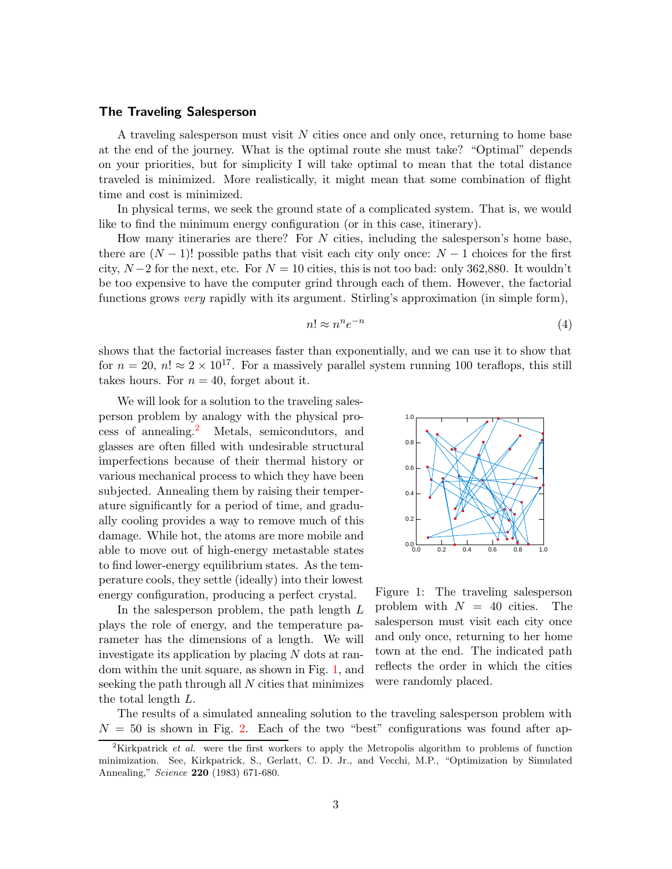#### The Traveling Salesperson

A traveling salesperson must visit  $N$  cities once and only once, returning to home base at the end of the journey. What is the optimal route she must take? "Optimal" depends on your priorities, but for simplicity I will take optimal to mean that the total distance traveled is minimized. More realistically, it might mean that some combination of flight time and cost is minimized.

In physical terms, we seek the ground state of a complicated system. That is, we would like to find the minimum energy configuration (or in this case, itinerary).

How many itineraries are there? For  $N$  cities, including the salesperson's home base, there are  $(N-1)!$  possible paths that visit each city only once:  $N-1$  choices for the first city,  $N-2$  for the next, etc. For  $N=10$  cities, this is not too bad: only 362,880. It wouldn't be too expensive to have the computer grind through each of them. However, the factorial functions grows *very* rapidly with its argument. Stirling's approximation (in simple form),

$$
n! \approx n^n e^{-n} \tag{4}
$$

shows that the factorial increases faster than exponentially, and we can use it to show that for  $n = 20$ ,  $n! \approx 2 \times 10^{17}$ . For a massively parallel system running 100 teraflops, this still takes hours. For  $n = 40$ , forget about it.

We will look for a solution to the traveling salesperson problem by analogy with the physical process of annealing.[2](#page-2-0) Metals, semicondutors, and glasses are often filled with undesirable structural imperfections because of their thermal history or various mechanical process to which they have been subjected. Annealing them by raising their temperature significantly for a period of time, and gradually cooling provides a way to remove much of this damage. While hot, the atoms are more mobile and able to move out of high-energy metastable states to find lower-energy equilibrium states. As the temperature cools, they settle (ideally) into their lowest energy configuration, producing a perfect crystal.

In the salesperson problem, the path length L plays the role of energy, and the temperature parameter has the dimensions of a length. We will investigate its application by placing N dots at random within the unit square, as shown in Fig. [1,](#page-2-1) and seeking the path through all  $N$  cities that minimizes the total length L.



<span id="page-2-1"></span>Figure 1: The traveling salesperson problem with  $N = 40$  cities. The salesperson must visit each city once and only once, returning to her home town at the end. The indicated path reflects the order in which the cities were randomly placed.

The results of a simulated annealing solution to the traveling salesperson problem with  $N = 50$  is shown in Fig. [2.](#page-3-0) Each of the two "best" configurations was found after ap-

<span id="page-2-0"></span><sup>&</sup>lt;sup>2</sup>Kirkpatrick *et al.* were the first workers to apply the Metropolis algorithm to problems of function minimization. See, Kirkpatrick, S., Gerlatt, C. D. Jr., and Vecchi, M.P., "Optimization by Simulated Annealing," Science 220 (1983) 671-680.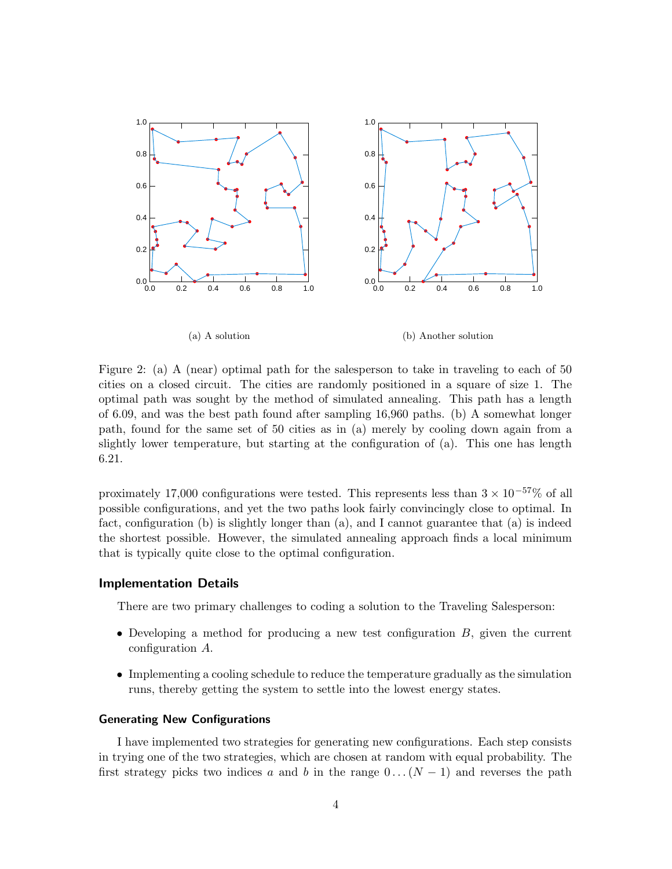

(a) A solution (b) Another solution

<span id="page-3-0"></span>Figure 2: (a) A (near) optimal path for the salesperson to take in traveling to each of 50 cities on a closed circuit. The cities are randomly positioned in a square of size 1. The optimal path was sought by the method of simulated annealing. This path has a length of 6.09, and was the best path found after sampling 16,960 paths. (b) A somewhat longer path, found for the same set of 50 cities as in (a) merely by cooling down again from a slightly lower temperature, but starting at the configuration of (a). This one has length 6.21.

proximately 17,000 configurations were tested. This represents less than  $3 \times 10^{-57}$ % of all possible configurations, and yet the two paths look fairly convincingly close to optimal. In fact, configuration (b) is slightly longer than (a), and I cannot guarantee that (a) is indeed the shortest possible. However, the simulated annealing approach finds a local minimum that is typically quite close to the optimal configuration.

### Implementation Details

There are two primary challenges to coding a solution to the Traveling Salesperson:

- Developing a method for producing a new test configuration  $B$ , given the current configuration A.
- Implementing a cooling schedule to reduce the temperature gradually as the simulation runs, thereby getting the system to settle into the lowest energy states.

#### Generating New Configurations

I have implemented two strategies for generating new configurations. Each step consists in trying one of the two strategies, which are chosen at random with equal probability. The first strategy picks two indices a and b in the range  $0 \dots (N-1)$  and reverses the path